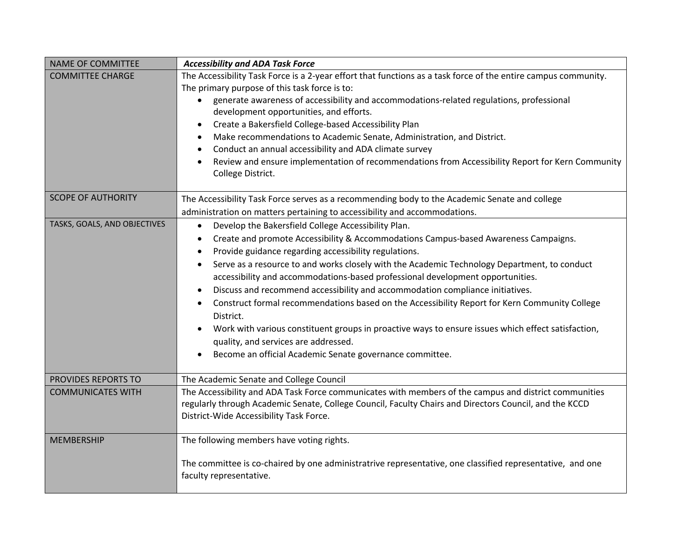| <b>NAME OF COMMITTEE</b>     | <b>Accessibility and ADA Task Force</b>                                                                                                                                                                                                                                                                                                                                                                                                                                                                                                                                                                                                                                                                                                                                                                                                            |
|------------------------------|----------------------------------------------------------------------------------------------------------------------------------------------------------------------------------------------------------------------------------------------------------------------------------------------------------------------------------------------------------------------------------------------------------------------------------------------------------------------------------------------------------------------------------------------------------------------------------------------------------------------------------------------------------------------------------------------------------------------------------------------------------------------------------------------------------------------------------------------------|
| <b>COMMITTEE CHARGE</b>      | The Accessibility Task Force is a 2-year effort that functions as a task force of the entire campus community.<br>The primary purpose of this task force is to:<br>generate awareness of accessibility and accommodations-related regulations, professional<br>development opportunities, and efforts.<br>Create a Bakersfield College-based Accessibility Plan<br>$\bullet$<br>Make recommendations to Academic Senate, Administration, and District.<br>$\bullet$<br>Conduct an annual accessibility and ADA climate survey<br>Review and ensure implementation of recommendations from Accessibility Report for Kern Community<br>College District.                                                                                                                                                                                             |
| <b>SCOPE OF AUTHORITY</b>    | The Accessibility Task Force serves as a recommending body to the Academic Senate and college<br>administration on matters pertaining to accessibility and accommodations.                                                                                                                                                                                                                                                                                                                                                                                                                                                                                                                                                                                                                                                                         |
| TASKS, GOALS, AND OBJECTIVES | Develop the Bakersfield College Accessibility Plan.<br>$\bullet$<br>Create and promote Accessibility & Accommodations Campus-based Awareness Campaigns.<br>$\bullet$<br>Provide guidance regarding accessibility regulations.<br>$\bullet$<br>Serve as a resource to and works closely with the Academic Technology Department, to conduct<br>accessibility and accommodations-based professional development opportunities.<br>Discuss and recommend accessibility and accommodation compliance initiatives.<br>Construct formal recommendations based on the Accessibility Report for Kern Community College<br>District.<br>Work with various constituent groups in proactive ways to ensure issues which effect satisfaction,<br>$\bullet$<br>quality, and services are addressed.<br>Become an official Academic Senate governance committee. |
| PROVIDES REPORTS TO          | The Academic Senate and College Council                                                                                                                                                                                                                                                                                                                                                                                                                                                                                                                                                                                                                                                                                                                                                                                                            |
| <b>COMMUNICATES WITH</b>     | The Accessibility and ADA Task Force communicates with members of the campus and district communities<br>regularly through Academic Senate, College Council, Faculty Chairs and Directors Council, and the KCCD<br>District-Wide Accessibility Task Force.                                                                                                                                                                                                                                                                                                                                                                                                                                                                                                                                                                                         |
| <b>MEMBERSHIP</b>            | The following members have voting rights.<br>The committee is co-chaired by one administratrive representative, one classified representative, and one<br>faculty representative.                                                                                                                                                                                                                                                                                                                                                                                                                                                                                                                                                                                                                                                                  |